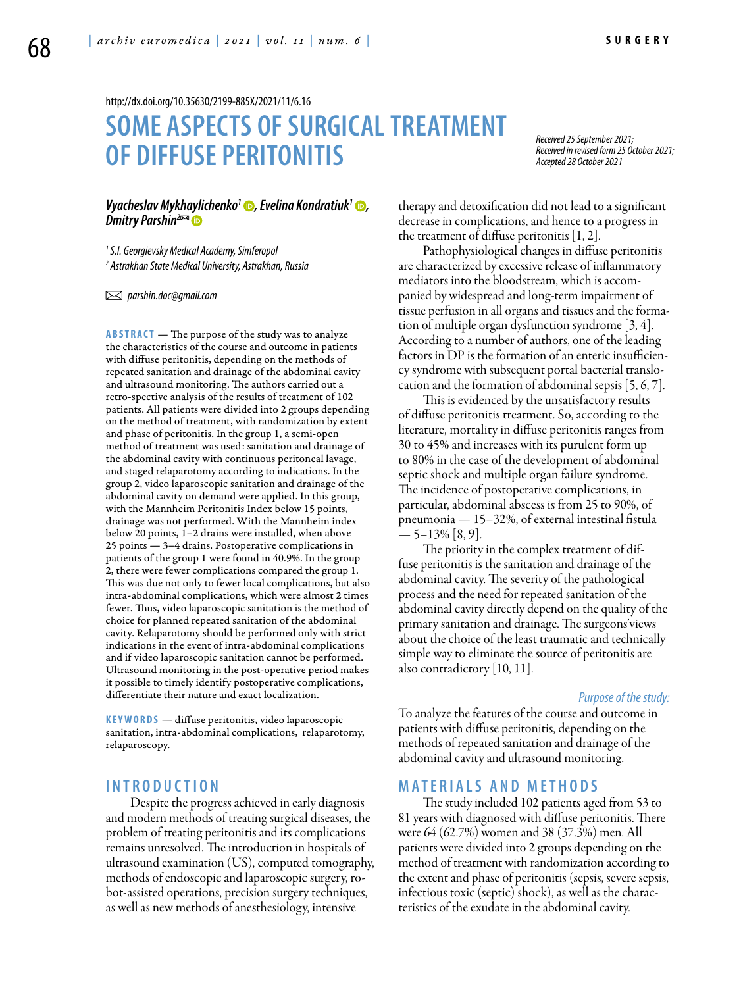<http://dx.doi.org/10.35630/2199-885X/2021/11/6.16>

# **SOME ASPECTS OF SURGICALTREATMENT OF DIFFUSE PERITONITIS**

*Received 25 September 2021; Received in revised form 25 October 2021; Accepted 28 Оctober 2021*

### *[Vyacheslav Mykhaylichenko](https://orcid.org/0000-0003-4204-5912)1 , [Evelina Kondratiuk1](https://orcid.org/0000-0001-8620-5661) , [Dmitry Parshin](http://orsid.org/0000-0002-1050-7716)<sup>2</sup>* **□**

*1 S.I. Georgievsky Medical Academy, Simferopol 2 Astrakhan State Medical University, Astrakhan, Russia*

 *parshin.doc@gmail.com* 

**ABSTRACT** — The purpose of the study was to analyze the characteristics of the course and outcome in patients with diffuse peritonitis, depending on the methods of repeated sanitation and drainage of the abdominal cavity and ultrasound monitoring. The authors carried out a retro-spective analysis of the results of treatment of 102 patients. All patients were divided into 2 groups depending on the method of treatment, with randomization by extent and phase of peritonitis. In the group 1, a semi-open method of treatment was used: sanitation and drainage of the abdominal cavity with continuous peritoneal lavage, and staged relaparotomy according to indications. In the group 2, video laparoscopic sanitation and drainage of the abdominal cavity on demand were applied. In this group, with the Mannheim Peritonitis Index below 15 points, drainage was not performed. With the Mannheim index below 20 points, 1–2 drains were installed, when above 25 points — 3–4 drains. Postoperative complications in patients of the group 1 were found in 40.9%. In the group 2, there were fewer complications compared the group 1. This was due not only to fewer local complications, but also intra-abdominal complications, which were almost 2 times fewer. Thus, video laparoscopic sanitation is the method of choice for planned repeated sanitation of the abdominal cavity. Relaparotomy should be performed only with strict indications in the event of intra-abdominal complications and if video laparoscopic sanitation cannot be performed. Ultrasound monitoring in the post-operative period makes it possible to timely identify postoperative complications, differentiate their nature and exact localization.

**KEYWORDS** — diffuse peritonitis, video laparoscopic sanitation, intra-abdominal complications, relaparotomy, relaparoscopy.

## **I n t r o d uct i o n**

Despite the progress achieved in early diagnosis and modern methods of treating surgical diseases, the problem of treating peritonitis and its complications remains unresolved. The introduction in hospitals of ultrasound examination (US), computed tomography, methods of endoscopic and laparoscopic surgery, robot-assisted operations, precision surgery techniques, as well as new methods of anesthesiology, intensive

therapy and detoxification did not lead to a significant decrease in complications, and hence to a progress in the treatment of diffuse peritonitis [1, 2].

Pathophysiological changes in diffuse peritonitis are characterized by excessive release of inflammatory mediators into the bloodstream, which is accompanied by widespread and long-term impairment of tissue perfusion in all organs and tissues and the formation of multiple organ dysfunction syndrome [3, 4]. According to a number of authors, one of the leading factors in DP is the formation of an enteric insufficiency syndrome with subsequent portal bacterial translocation and the formation of abdominal sepsis [5, 6, 7].

This is evidenced by the unsatisfactory results of diffuse peritonitis treatment. So, according to the literature, mortality in diffuse peritonitis ranges from 30 to 45% and increases with its purulent form up to 80% in the case of the development of abdominal septic shock and multiple organ failure syndrome. The incidence of postoperative complications, in particular, abdominal abscess is from 25 to 90%, of pneumonia — 15–32%, of external intestinal fistula  $-5-13\%$  [8, 9].

The priority in the complex treatment of diffuse peritonitis is the sanitation and drainage of the abdominal cavity. The severity of the pathological process and the need for repeated sanitation of the abdominal cavity directly depend on the quality of the primary sanitation and drainage. The surgeons'views about the choice of the least traumatic and technically simple way to eliminate the source of peritonitis are also contradictory [10, 11].

#### *Purpose of the study:*

To analyze the features of the course and outcome in patients with diffuse peritonitis, depending on the methods of repeated sanitation and drainage of the abdominal cavity and ultrasound monitoring.

## **MATERIALS AND METHODS**

The study included 102 patients aged from 53 to 81 years with diagnosed with diffuse peritonitis. There were 64 (62.7%) women and 38 (37.3%) men. All patients were divided into 2 groups depending on the method of treatment with randomization according to the extent and phase of peritonitis (sepsis, severe sepsis, infectious toxic (septic) shock), as well as the characteristics of the exudate in the abdominal cavity.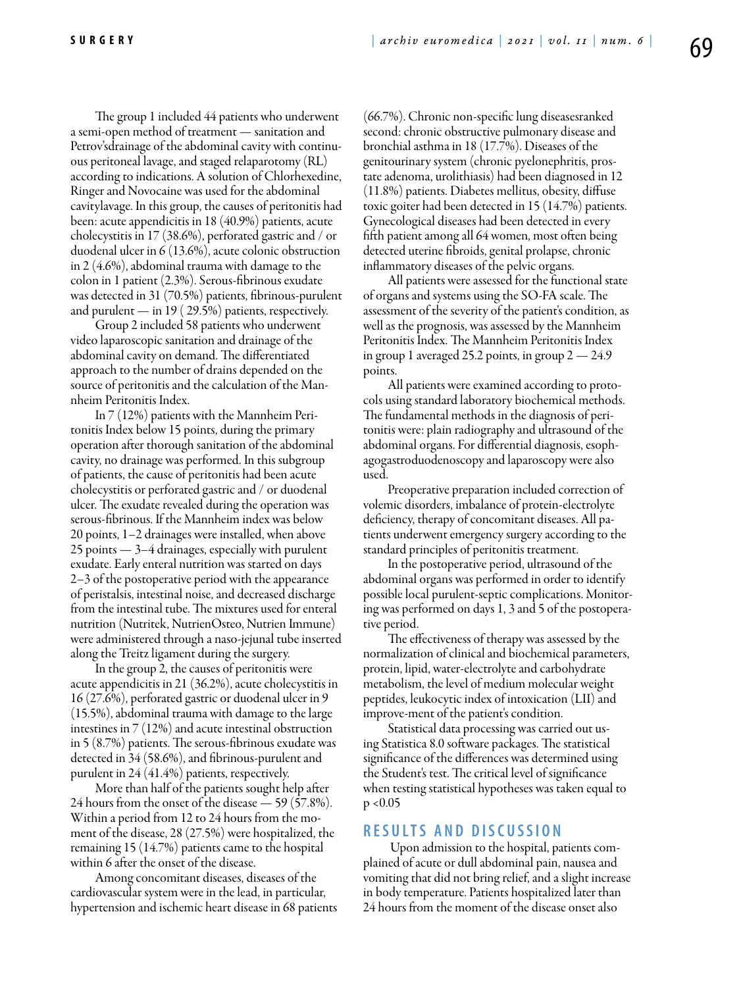The group 1 included 44 patients who underwent a semi-open method of treatment — sanitation and Petrov'sdrainage of the abdominal cavity with continuous peritoneal lavage, and staged relaparotomy (RL) according to indications. A solution of Chlorhexedine, Ringer and Novocaine was used for the abdominal cavitylavage. In this group, the causes of peritonitis had been: acute appendicitis in 18 (40.9%) patients, acute cholecystitis in 17 (38.6%), perforated gastric and / or duodenal ulcer in 6 (13.6%), acute colonic obstruction in 2 (4.6%), abdominal trauma with damage to the colon in 1 patient (2.3%). Serous-fibrinous exudate was detected in 31 (70.5%) patients, fibrinous-purulent and purulent — in 19 ( $29.5\%$ ) patients, respectively.

Group 2 included 58 patients who underwent video laparoscopic sanitation and drainage of the abdominal cavity on demand. The differentiated approach to the number of drains depended on the source of peritonitis and the calculation of the Mannheim Peritonitis Index.

In 7 (12%) patients with the Mannheim Peritonitis Index below 15 points, during the primary operation after thorough sanitation of the abdominal cavity, no drainage was performed. In this subgroup of patients, the cause of peritonitis had been acute cholecystitis or perforated gastric and / or duodenal ulcer. The exudate revealed during the operation was serous-fibrinous. If the Mannheim index was below 20 points, 1–2 drainages were installed, when above 25 points — 3–4 drainages, especially with purulent exudate. Early enteral nutrition was started on days 2–3 of the postoperative period with the appearance of peristalsis, intestinal noise, and decreased discharge from the intestinal tube. The mixtures used for enteral nutrition (Nutritek, NutrienOsteo, Nutrien Immune) were administered through a naso-jejunal tube inserted along the Treitz ligament during the surgery.

In the group 2, the causes of peritonitis were acute appendicitis in 21 (36.2%), acute cholecystitis in 16 (27.6%), perforated gastric or duodenal ulcer in 9 (15.5%), abdominal trauma with damage to the large intestines in 7 (12%) and acute intestinal obstruction in 5 (8.7%) patients. The serous-fibrinous exudate was detected in 34 (58.6%), and fibrinous-purulent and purulent in 24 (41.4%) patients, respectively.

More than half of the patients sought help after 24 hours from the onset of the disease — 59 (57.8%). Within a period from 12 to 24 hours from the moment of the disease, 28 (27.5%) were hospitalized, the remaining 15 (14.7%) patients came to the hospital within 6 after the onset of the disease.

Among concomitant diseases, diseases of the cardiovascular system were in the lead, in particular, hypertension and ischemic heart disease in 68 patients (66.7%). Chronic non-specific lung diseasesranked second: chronic obstructive pulmonary disease and bronchial asthma in 18 (17.7%). Diseases of the genitourinary system (chronic pyelonephritis, prostate adenoma, urolithiasis) had been diagnosed in 12 (11.8%) patients. Diabetes mellitus, obesity, diffuse toxic goiter had been detected in 15 (14.7%) patients. Gynecological diseases had been detected in every fifth patient among all 64 women, most often being detected uterine fibroids, genital prolapse, chronic inflammatory diseases of the pelvic organs.

All patients were assessed for the functional state of organs and systems using the SO-FA scale. The assessment of the severity of the patient's condition, as well as the prognosis, was assessed by the Mannheim Peritonitis Index. The Mannheim Peritonitis Index in group 1 averaged 25.2 points, in group  $2 - 24.9$ points.

All patients were examined according to protocols using standard laboratory biochemical methods. The fundamental methods in the diagnosis of peritonitis were: plain radiography and ultrasound of the abdominal organs. For differential diagnosis, esophagogastroduodenoscopy and laparoscopy were also used.

Preoperative preparation included correction of volemic disorders, imbalance of protein-electrolyte deficiency, therapy of concomitant diseases. All patients underwent emergency surgery according to the standard principles of peritonitis treatment.

In the postoperative period, ultrasound of the abdominal organs was performed in order to identify possible local purulent-septic complications. Monitoring was performed on days 1, 3 and 5 of the postoperative period.

The effectiveness of therapy was assessed by the normalization of clinical and biochemical parameters, protein, lipid, water-electrolyte and carbohydrate metabolism, the level of medium molecular weight peptides, leukocytic index of intoxication (LII) and improve-ment of the patient's condition.

Statistical data processing was carried out using Statistica 8.0 software packages. The statistical significance of the differences was determined using the Student's test. The critical level of significance when testing statistical hypotheses was taken equal to  $p < 0.05$ 

#### **R e s u l t s a n d d i scu s s i o n**

 Upon admission to the hospital, patients complained of acute or dull abdominal pain, nausea and vomiting that did not bring relief, and a slight increase in body temperature. Patients hospitalized later than 24 hours from the moment of the disease onset also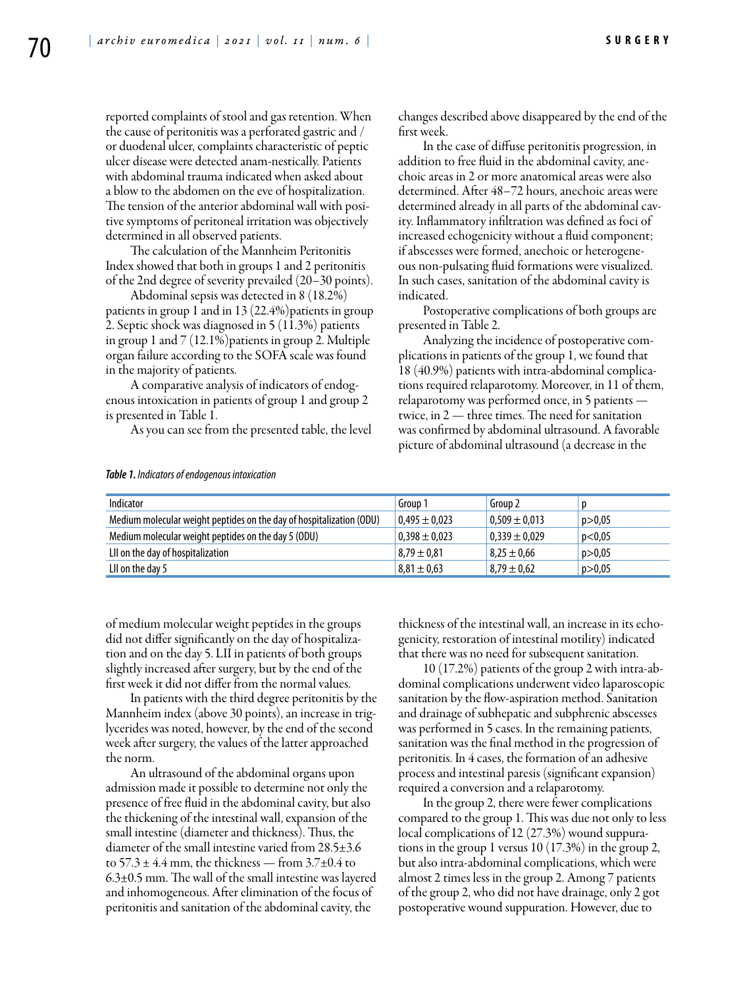reported complaints of stool and gas retention. When the cause of peritonitis was a perforated gastric and / or duodenal ulcer, complaints characteristic of peptic ulcer disease were detected anam-nestically. Patients with abdominal trauma indicated when asked about a blow to the abdomen on the eve of hospitalization. The tension of the anterior abdominal wall with positive symptoms of peritoneal irritation was objectively determined in all observed patients.

The calculation of the Mannheim Peritonitis Index showed that both in groups 1 and 2 peritonitis of the 2nd degree of severity prevailed (20–30 points).

Abdominal sepsis was detected in 8 (18.2%) patients in group 1 and in 13  $(22.4%)$  patients in group 2. Septic shock was diagnosed in 5 (11.3%) patients in group 1 and 7 (12.1%)patients in group 2. Multiple organ failure according to the SOFA scale was found in the majority of patients.

A comparative analysis of indicators of endogenous intoxication in patients of group 1 and group 2 is presented in Table 1.

As you can see from the presented table, the level

changes described above disappeared by the end of the first week.

In the case of diffuse peritonitis progression, in addition to free fluid in the abdominal cavity, anechoic areas in 2 or more anatomical areas were also determined. After 48–72 hours, anechoic areas were determined already in all parts of the abdominal cavity. Inflammatory infiltration was defined as foci of increased echogenicity without a fluid component; if abscesses were formed, anechoic or heterogeneous non-pulsating fluid formations were visualized. In such cases, sanitation of the abdominal cavity is indicated.

Postoperative complications of both groups are presented in Table 2.

Analyzing the incidence of postoperative complications in patients of the group 1, we found that 18 (40.9%) patients with intra-abdominal complications required relaparotomy. Moreover, in 11 of them, relaparotomy was performed once, in 5 patients twice, in 2 — three times. The need for sanitation was confirmed by abdominal ultrasound. A favorable picture of abdominal ultrasound (a decrease in the

| Indicator                                                            | Group 1           | Group 2           |          |
|----------------------------------------------------------------------|-------------------|-------------------|----------|
| Medium molecular weight peptides on the day of hospitalization (ODU) | $0.495 \pm 0.023$ | $0.509 \pm 0.013$ | p > 0.05 |
| Medium molecular weight peptides on the day 5 (ODU)                  | $0.398 \pm 0.023$ | $0.339 \pm 0.029$ | p<0.05   |
| LII on the day of hospitalization                                    | $8.79 \pm 0.81$   | $8.25 \pm 0.66$   | p > 0.05 |
| LII on the day 5                                                     | $8,81 \pm 0,63$   | $8.79 \pm 0.62$   | p > 0.05 |

*Table 1. Indicators of endogenous intoxication*

of medium molecular weight peptides in the groups did not differ significantly on the day of hospitalization and on the day 5. LII in patients of both groups slightly increased after surgery, but by the end of the first week it did not differ from the normal values.

In patients with the third degree peritonitis by the Mannheim index (above 30 points), an increase in triglycerides was noted, however, by the end of the second week after surgery, the values of the latter approached the norm.

An ultrasound of the abdominal organs upon admission made it possible to determine not only the presence of free fluid in the abdominal cavity, but also the thickening of the intestinal wall, expansion of the small intestine (diameter and thickness). Thus, the diameter of the small intestine varied from 28.5±3.6 to  $57.3 \pm 4.4$  mm, the thickness — from  $3.7 \pm 0.4$  to  $6.3\pm0.5$  mm. The wall of the small intestine was layered and inhomogeneous. After elimination of the focus of peritonitis and sanitation of the abdominal cavity, the

thickness of the intestinal wall, an increase in its echogenicity, restoration of intestinal motility) indicated that there was no need for subsequent sanitation.

10 (17.2%) patients of the group 2 with intra-abdominal complications underwent video laparoscopic sanitation by the flow-aspiration method. Sanitation and drainage of subhepatic and subphrenic abscesses was performed in 5 cases. In the remaining patients, sanitation was the final method in the progression of peritonitis. In 4 cases, the formation of an adhesive process and intestinal paresis (significant expansion) required a conversion and a relaparotomy.

In the group 2, there were fewer complications compared to the group 1. This was due not only to less local complications of 12 (27.3%) wound suppurations in the group 1 versus 10 (17.3%) in the group 2, but also intra-abdominal complications, which were almost 2 times less in the group 2. Among 7 patients of the group 2, who did not have drainage, only 2 got postoperative wound suppuration. However, due to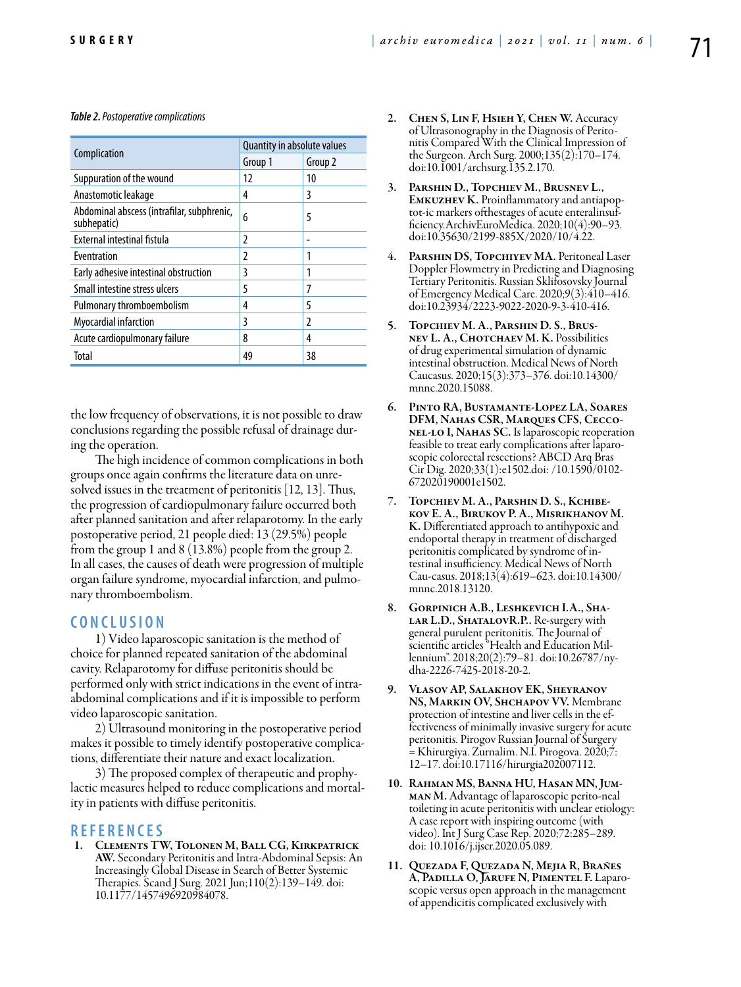*Table 2. Postoperative complications*

| Complication                                              | Quantity in absolute values |         |
|-----------------------------------------------------------|-----------------------------|---------|
|                                                           | Group 1                     | Group 2 |
| Suppuration of the wound                                  | 12                          | 10      |
| Anastomotic leakage                                       | 4                           | 3       |
| Abdominal abscess (intrafilar, subphrenic,<br>subhepatic) | 6                           | 5       |
| <b>External intestinal fistula</b>                        | 2                           | -       |
| Eventration                                               | 2                           | 1       |
| Early adhesive intestinal obstruction                     | 3                           | 1       |
| Small intestine stress ulcers                             | 5                           | 7       |
| Pulmonary thromboembolism                                 | 4                           | 5       |
| Myocardial infarction                                     | 3                           | 2       |
| Acute cardiopulmonary failure                             | 8                           | 4       |
| <b>Total</b>                                              | 49                          | 38      |

the low frequency of observations, it is not possible to draw conclusions regarding the possible refusal of drainage during the operation.

The high incidence of common complications in both groups once again confirms the literature data on unresolved issues in the treatment of peritonitis [12, 13]. Thus, the progression of cardiopulmonary failure occurred both after planned sanitation and after relaparotomy. In the early postoperative period, 21 people died: 13 (29.5%) people from the group 1 and 8 (13.8%) people from the group 2. In all cases, the causes of death were progression of multiple organ failure syndrome, myocardial infarction, and pulmonary thromboembolism.

# **C o n cl u s i o n**

1) Video laparoscopic sanitation is the method of choice for planned repeated sanitation of the abdominal cavity. Relaparotomy for diffuse peritonitis should be performed only with strict indications in the event of intraabdominal complications and if it is impossible to perform video laparoscopic sanitation.

2) Ultrasound monitoring in the postoperative period makes it possible to timely identify postoperative complications, differentiate their nature and exact localization.

3) The proposed complex of therapeutic and prophylactic measures helped to reduce complications and mortality in patients with diffuse peritonitis.

# **R efe r e n ce s**

1. Clements TW, Tolonen M, Ball CG, Kirkpatrick AW. Secondary Peritonitis and Intra-Abdominal Sepsis: An Increasingly Global Disease in Search of Better Systemic Therapies. Scand J Surg. 2021 Jun;110(2):139–149. doi: 10.1177/1457496920984078.

- 2. Chen S, Lin F, Hsieh Y, Chen W. Accuracy of Ultrasonography in the Diagnosis of Peritonitis Compared With the Clinical Impression of the Surgeon. Arch Surg. 2000;135(2):170–174. doi:10.1001/archsurg.135.2.170.
- 3. PARSHIN D., TOPCHIEV M., BRUSNEV L.,<br>EMKUZHEV K. Proinflammatory and antiapoptot-ic markers ofthestages of acute enteralinsuf-<br>ficiency.ArchivEuroMedica. 2020;10(4):90–93. doi:10.35630/2199-885X/2020/10/4.22.
- 4. Parshin DS, Topchiyev MA. Peritoneal Laser Doppler Flowmetry in Predicting and Diagnosing Tertiary Peritonitis. Russian Sklifosovsky Journal of Emergency Medical Care. 2020;9(3):410–416. doi:10.23934/2223-9022-2020-9-3-410-416.
- 5. Topchiev M. A., Parshin D. S., Brus-<br>Nev L. A., Chotchaev M. K. Possibilities of drug experimental simulation of dynamic intestinal obstruction. Medical News of North Caucasus. 2020;15(3):373–376. doi:10.14300/ mnnc.2020.15088.
- 6. Pinto RA, Bustamante-Lopez LA, Soares DFM, Nahas CSR, Marques CFS, Cecco-NEL-LO I, NAHAS SC. Is laparoscopic reoperation feasible to treat early complications after laparoscopic colorectal resections? ABCD Arq Bras Cir Dig. 2020;33(1):e1502.doi: /10.1590/0102- 672020190001e1502.
- 7. Topchiev M. A., Parshin D. S., Kchibekov E. A., Birukov P. A., Misrikhanov M. K. Differentiated approach to antihypoxic and endoportal therapy in treatment of discharged peritonitis complicated by syndrome of intestinal insufficiency. Medical News of North Cau-casus. 2018;13(4):619–623. doi:10.14300/ mnnc.2018.13120.
- 8. GORPINICH A.B., LESHKEVICH I.A., SHA-LAR L.D., SHATALOVR.P.. Re-surgery with general purulent peritonitis. The Journal of<br>scientific articles "Health and Education Millennium". 2018;20(2):79–81. doi:10.26787/ny-<br>dha-2226-7425-2018-20-2.
- 9. Vlasov AP, Salakhov EK, Sheyranov NS, MARKIN OV, SHCHAPOV VV. Membrane<br>protection of intestine and liver cells in the effectiveness of minimally invasive surgery for acute peritonitis. Pirogov Russian Journal of Surgery = Khirurgiya. Zurnalim. N.I. Pirogova. 2020;7: 12–17. doi:10.17116/hirurgia202007112.
- 10. Rahman MS, Banna HU, Hasan MN, Jumman M. Advantage of laparoscopic perito-neal toileting in acute peritonitis with unclear etiology: A case report with inspiring outcome (with video). Int J Surg Case Rep. 2020;72:285–289. doi: 10.1016/j.ijscr.2020.05.089.
- 11. Quezada F, Quezada N, Mejia R, Brañes A, PADILLA O, JARUFE N, PIMENTEL F. Laparo-scopic versus open approach in the management of appendicitis complicated exclusively with